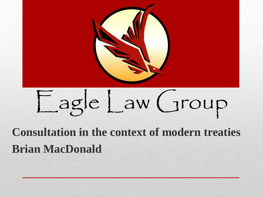

# Eagle Law Group

#### **Consultation in the context of modern treaties Brian MacDonald**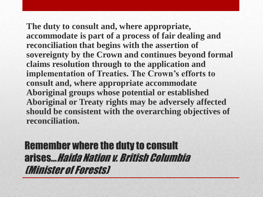**The duty to consult and, where appropriate, accommodate is part of a process of fair dealing and reconciliation that begins with the assertion of sovereignty by the Crown and continues beyond formal claims resolution through to the application and implementation of Treaties. The Crown's efforts to consult and, where appropriate accommodate Aboriginal groups whose potential or established Aboriginal or Treaty rights may be adversely affected should be consistent with the overarching objectives of reconciliation.**

Remember where the duty to consult arises... Haida Nation v. British Columbia (Minister of Forests)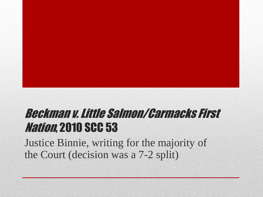#### Beckman v. Little Salmon/Carmacks First **Nation, 2010 SCC 53**

Justice Binnie, writing for the majority of the Court (decision was a 7-2 split)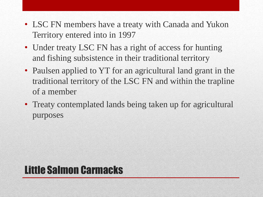- LSC FN members have a treaty with Canada and Yukon Territory entered into in 1997
- Under treaty LSC FN has a right of access for hunting and fishing subsistence in their traditional territory
- Paulsen applied to YT for an agricultural land grant in the traditional territory of the LSC FN and within the trapline of a member
- Treaty contemplated lands being taken up for agricultural purposes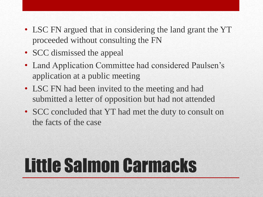- LSC FN argued that in considering the land grant the YT proceeded without consulting the FN
- SCC dismissed the appeal
- Land Application Committee had considered Paulsen's application at a public meeting
- LSC FN had been invited to the meeting and had submitted a letter of opposition but had not attended
- SCC concluded that YT had met the duty to consult on the facts of the case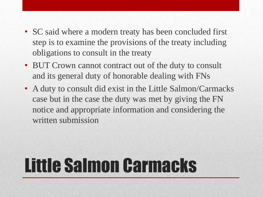- SC said where a modern treaty has been concluded first step is to examine the provisions of the treaty including obligations to consult in the treaty
- BUT Crown cannot contract out of the duty to consult and its general duty of honorable dealing with FNs
- A duty to consult did exist in the Little Salmon/Carmacks case but in the case the duty was met by giving the FN notice and appropriate information and considering the written submission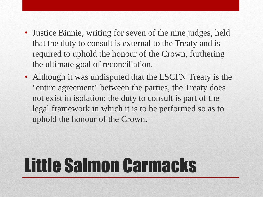- Justice Binnie, writing for seven of the nine judges, held that the duty to consult is external to the Treaty and is required to uphold the honour of the Crown, furthering the ultimate goal of reconciliation.
- Although it was undisputed that the LSCFN Treaty is the "entire agreement" between the parties, the Treaty does not exist in isolation: the duty to consult is part of the legal framework in which it is to be performed so as to uphold the honour of the Crown.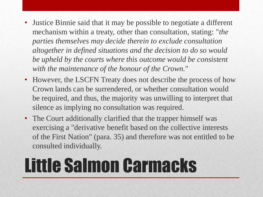- Justice Binnie said that it may be possible to negotiate a different mechanism within a treaty, other than consultation, stating: "*the parties themselves may decide therein to exclude consultation altogether in defined situations and the decision to do so would be upheld by the courts where this outcome would be consistent with the maintenance of the honour of the Crown.*"
- However, the LSCFN Treaty does not describe the process of how Crown lands can be surrendered, or whether consultation would be required, and thus, the majority was unwilling to interpret that silence as implying no consultation was required.
- The Court additionally clarified that the trapper himself was exercising a "derivative benefit based on the collective interests of the First Nation" (para. 35) and therefore was not entitled to be consulted individually.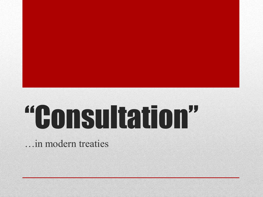# "Consultation"

…in modern treaties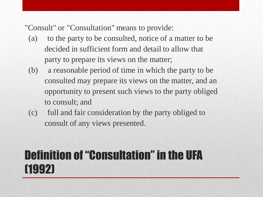"Consult" or "Consultation" means to provide:

- (a) to the party to be consulted, notice of a matter to be decided in sufficient form and detail to allow that party to prepare its views on the matter;
- (b) a reasonable period of time in which the party to be consulted may prepare its views on the matter, and an opportunity to present such views to the party obliged to consult; and
- (c) full and fair consideration by the party obliged to consult of any views presented.

#### Definition of "Consultation" in the UFA (1992)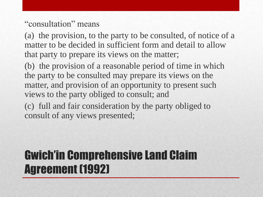#### "consultation" means

(a) the provision, to the party to be consulted, of notice of a matter to be decided in sufficient form and detail to allow that party to prepare its views on the matter;

(b) the provision of a reasonable period of time in which the party to be consulted may prepare its views on the matter, and provision of an opportunity to present such views to the party obliged to consult; and

(c) full and fair consideration by the party obliged to consult of any views presented;

#### Gwich'in Comprehensive Land Claim Agreement (1992)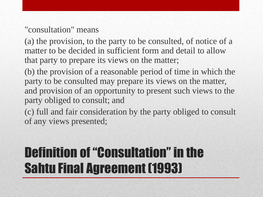#### "consultation" means

(a) the provision, to the party to be consulted, of notice of a matter to be decided in sufficient form and detail to allow that party to prepare its views on the matter;

(b) the provision of a reasonable period of time in which the party to be consulted may prepare its views on the matter, and provision of an opportunity to present such views to the party obliged to consult; and

(c) full and fair consideration by the party obliged to consult of any views presented;

### Definition of "Consultation" in the Sahtu Final Agreement (1993)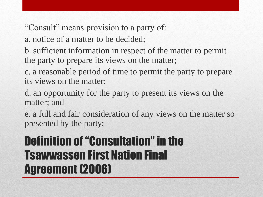"Consult" means provision to a party of:

a. notice of a matter to be decided;

b. sufficient information in respect of the matter to permit the party to prepare its views on the matter;

c. a reasonable period of time to permit the party to prepare its views on the matter;

d. an opportunity for the party to present its views on the matter; and

e. a full and fair consideration of any views on the matter so presented by the party;

#### Definition of "Consultation" in the Tsawwassen First Nation Final Agreement (2006)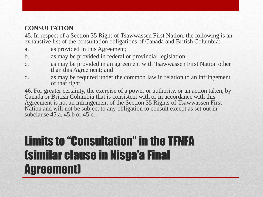#### **CONSULTATION**

45. In respect of a Section 35 Right of Tsawwassen First Nation, the following is an exhaustive list of the consultation obligations of Canada and British Columbia:

- a. as provided in this Agreement;
- b. as may be provided in federal or provincial legislation;
- c. as may be provided in an agreement with Tsawwassen First Nation other than this Agreement; and
- d. as may be required under the common law in relation to an infringement of that right.

46. For greater certainty, the exercise of a power or authority, or an action taken, by Canada or British Columbia that is consistent with or in accordance with this Agreement is not an infringement of the Section 35 Rights of Tsawwassen First Nation and will not be subject to any obligation to consult except as set out in subclause 45.a, 45.b or 45.c.

#### Limits to "Consultation" in the TFNFA (similar clause in Nisga'a Final Agreement)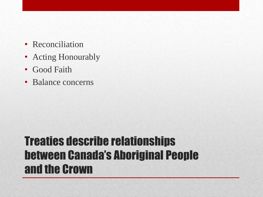- Reconciliation
- Acting Honourably
- Good Faith
- Balance concerns

#### Treaties describe relationships between Canada's Aboriginal People and the Crown